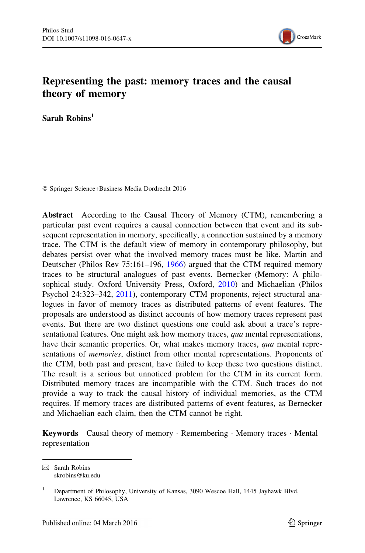

# Representing the past: memory traces and the causal theory of memory

Sarah Robins<sup>1</sup>

- Springer Science+Business Media Dordrecht 2016

Abstract According to the Causal Theory of Memory (CTM), remembering a particular past event requires a causal connection between that event and its subsequent representation in memory, specifically, a connection sustained by a memory trace. The CTM is the default view of memory in contemporary philosophy, but debates persist over what the involved memory traces must be like. Martin and Deutscher (Philos Rev 75:161–196, [1966\)](#page-19-0) argued that the CTM required memory traces to be structural analogues of past events. Bernecker (Memory: A philo-sophical study. Oxford University Press, Oxford, [2010\)](#page-19-0) and Michaelian (Philos Psychol 24:323–342, [2011\)](#page-19-0), contemporary CTM proponents, reject structural analogues in favor of memory traces as distributed patterns of event features. The proposals are understood as distinct accounts of how memory traces represent past events. But there are two distinct questions one could ask about a trace's representational features. One might ask how memory traces, qua mental representations, have their semantic properties. Or, what makes memory traces, qua mental representations of memories, distinct from other mental representations. Proponents of the CTM, both past and present, have failed to keep these two questions distinct. The result is a serious but unnoticed problem for the CTM in its current form. Distributed memory traces are incompatible with the CTM. Such traces do not provide a way to track the causal history of individual memories, as the CTM requires. If memory traces are distributed patterns of event features, as Bernecker and Michaelian each claim, then the CTM cannot be right.

Keywords Causal theory of memory · Remembering · Memory traces · Mental representation

 $\boxtimes$  Sarah Robins skrobins@ku.edu

<sup>&</sup>lt;sup>1</sup> Department of Philosophy, University of Kansas, 3090 Wescoe Hall, 1445 Jayhawk Blvd, Lawrence, KS 66045, USA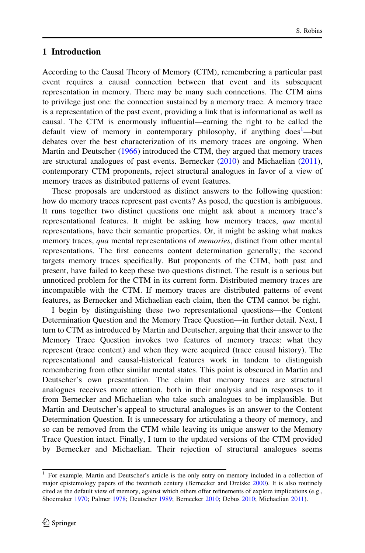### 1 Introduction

According to the Causal Theory of Memory (CTM), remembering a particular past event requires a causal connection between that event and its subsequent representation in memory. There may be many such connections. The CTM aims to privilege just one: the connection sustained by a memory trace. A memory trace is a representation of the past event, providing a link that is informational as well as causal. The CTM is enormously influential—earning the right to be called the default view of memory in contemporary philosophy, if anything does<sup>1</sup>—but debates over the best characterization of its memory traces are ongoing. When Martin and Deutscher ([1966\)](#page-19-0) introduced the CTM, they argued that memory traces are structural analogues of past events. Bernecker  $(2010)$  $(2010)$  and Michaelian  $(2011)$  $(2011)$ , contemporary CTM proponents, reject structural analogues in favor of a view of memory traces as distributed patterns of event features.

These proposals are understood as distinct answers to the following question: how do memory traces represent past events? As posed, the question is ambiguous. It runs together two distinct questions one might ask about a memory trace's representational features. It might be asking how memory traces, *qua* mental representations, have their semantic properties. Or, it might be asking what makes memory traces, *qua* mental representations of *memories*, distinct from other mental representations. The first concerns content determination generally; the second targets memory traces specifically. But proponents of the CTM, both past and present, have failed to keep these two questions distinct. The result is a serious but unnoticed problem for the CTM in its current form. Distributed memory traces are incompatible with the CTM. If memory traces are distributed patterns of event features, as Bernecker and Michaelian each claim, then the CTM cannot be right.

I begin by distinguishing these two representational questions—the Content Determination Question and the Memory Trace Question—in further detail. Next, I turn to CTM as introduced by Martin and Deutscher, arguing that their answer to the Memory Trace Question invokes two features of memory traces: what they represent (trace content) and when they were acquired (trace causal history). The representational and causal-historical features work in tandem to distinguish remembering from other similar mental states. This point is obscured in Martin and Deutscher's own presentation. The claim that memory traces are structural analogues receives more attention, both in their analysis and in responses to it from Bernecker and Michaelian who take such analogues to be implausible. But Martin and Deutscher's appeal to structural analogues is an answer to the Content Determination Question. It is unnecessary for articulating a theory of memory, and so can be removed from the CTM while leaving its unique answer to the Memory Trace Question intact. Finally, I turn to the updated versions of the CTM provided by Bernecker and Michaelian. Their rejection of structural analogues seems

 $<sup>1</sup>$  For example, Martin and Deutscher's article is the only entry on memory included in a collection of</sup> major epistemology papers of the twentieth century (Bernecker and Dretske [2000](#page-19-0)). It is also routinely cited as the default view of memory, against which others offer refinements of explore implications (e.g., Shoemaker [1970](#page-19-0); Palmer [1978](#page-19-0); Deutscher [1989](#page-19-0); Bernecker [2010](#page-19-0); Debus [2010](#page-19-0); Michaelian [2011\)](#page-19-0).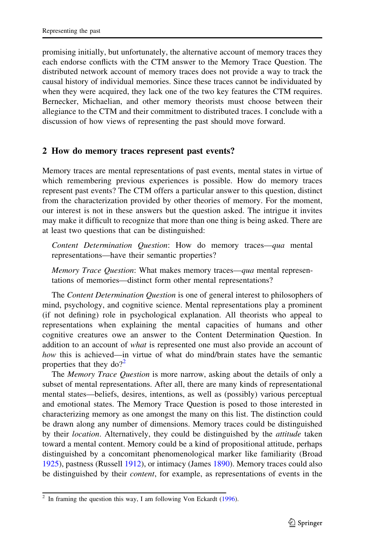<span id="page-2-0"></span>promising initially, but unfortunately, the alternative account of memory traces they each endorse conflicts with the CTM answer to the Memory Trace Question. The distributed network account of memory traces does not provide a way to track the causal history of individual memories. Since these traces cannot be individuated by when they were acquired, they lack one of the two key features the CTM requires. Bernecker, Michaelian, and other memory theorists must choose between their allegiance to the CTM and their commitment to distributed traces. I conclude with a discussion of how views of representing the past should move forward.

# 2 How do memory traces represent past events?

Memory traces are mental representations of past events, mental states in virtue of which remembering previous experiences is possible. How do memory traces represent past events? The CTM offers a particular answer to this question, distinct from the characterization provided by other theories of memory. For the moment, our interest is not in these answers but the question asked. The intrigue it invites may make it difficult to recognize that more than one thing is being asked. There are at least two questions that can be distinguished:

Content Determination Question: How do memory traces—qua mental representations—have their semantic properties?

Memory Trace Question: What makes memory traces—qua mental representations of memories—distinct form other mental representations?

The Content Determination Question is one of general interest to philosophers of mind, psychology, and cognitive science. Mental representations play a prominent (if not defining) role in psychological explanation. All theorists who appeal to representations when explaining the mental capacities of humans and other cognitive creatures owe an answer to the Content Determination Question. In addition to an account of what is represented one must also provide an account of how this is achieved—in virtue of what do mind/brain states have the semantic properties that they  $do?$ <sup>2</sup>

The *Memory Trace Question* is more narrow, asking about the details of only a subset of mental representations. After all, there are many kinds of representational mental states—beliefs, desires, intentions, as well as (possibly) various perceptual and emotional states. The Memory Trace Question is posed to those interested in characterizing memory as one amongst the many on this list. The distinction could be drawn along any number of dimensions. Memory traces could be distinguished by their location. Alternatively, they could be distinguished by the attitude taken toward a mental content. Memory could be a kind of propositional attitude, perhaps distinguished by a concomitant phenomenological marker like familiarity (Broad [1925\)](#page-19-0), pastness (Russell [1912](#page-19-0)), or intimacy (James [1890\)](#page-19-0). Memory traces could also be distinguished by their content, for example, as representations of events in the

 $2$  In framing the question this way, I am following Von Eckardt [\(1996](#page-20-0)).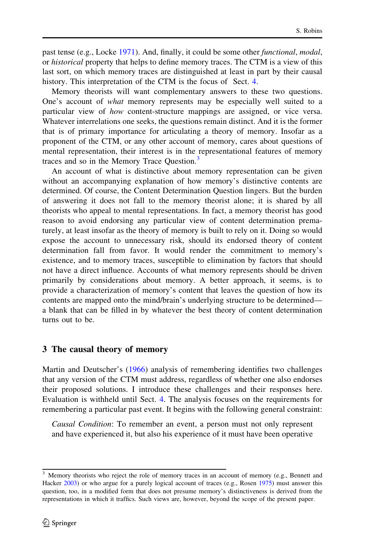past tense (e.g., Locke [1971\)](#page-19-0). And, finally, it could be some other functional, modal, or historical property that helps to define memory traces. The CTM is a view of this last sort, on which memory traces are distinguished at least in part by their causal history. This interpretation of the CTM is the focus of Sect. [4.](#page-6-0)

Memory theorists will want complementary answers to these two questions. One's account of what memory represents may be especially well suited to a particular view of how content-structure mappings are assigned, or vice versa. Whatever interrelations one seeks, the questions remain distinct. And it is the former that is of primary importance for articulating a theory of memory. Insofar as a proponent of the CTM, or any other account of memory, cares about questions of mental representation, their interest is in the representational features of memory traces and so in the Memory Trace Question.<sup>3</sup>

An account of what is distinctive about memory representation can be given without an accompanying explanation of how memory's distinctive contents are determined. Of course, the Content Determination Question lingers. But the burden of answering it does not fall to the memory theorist alone; it is shared by all theorists who appeal to mental representations. In fact, a memory theorist has good reason to avoid endorsing any particular view of content determination prematurely, at least insofar as the theory of memory is built to rely on it. Doing so would expose the account to unnecessary risk, should its endorsed theory of content determination fall from favor. It would render the commitment to memory's existence, and to memory traces, susceptible to elimination by factors that should not have a direct influence. Accounts of what memory represents should be driven primarily by considerations about memory. A better approach, it seems, is to provide a characterization of memory's content that leaves the question of how its contents are mapped onto the mind/brain's underlying structure to be determined a blank that can be filled in by whatever the best theory of content determination turns out to be.

#### 3 The causal theory of memory

Martin and Deutscher's ([1966\)](#page-19-0) analysis of remembering identifies two challenges that any version of the CTM must address, regardless of whether one also endorses their proposed solutions. I introduce these challenges and their responses here. Evaluation is withheld until Sect. [4](#page-6-0). The analysis focuses on the requirements for remembering a particular past event. It begins with the following general constraint:

Causal Condition: To remember an event, a person must not only represent and have experienced it, but also his experience of it must have been operative

Memory theorists who reject the role of memory traces in an account of memory (e.g., Bennett and Hacker [2003\)](#page-19-0) or who argue for a purely logical account of traces (e.g., Rosen [1975\)](#page-19-0) must answer this question, too, in a modified form that does not presume memory's distinctiveness is derived from the representations in which it traffics. Such views are, however, beyond the scope of the present paper.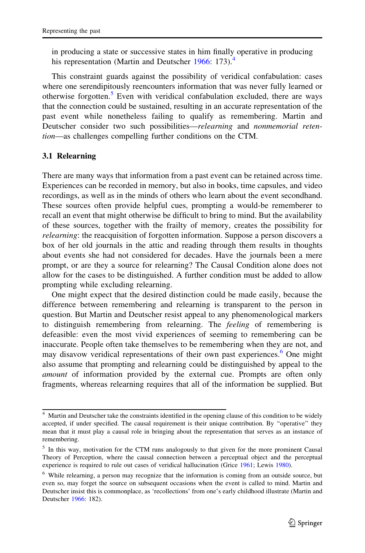in producing a state or successive states in him finally operative in producing his representation (Martin and Deutscher [1966:](#page-19-0) 173).<sup>4</sup>

This constraint guards against the possibility of veridical confabulation: cases where one serendipitously reencounters information that was never fully learned or otherwise forgotten.<sup>5</sup> Even with veridical confabulation excluded, there are ways that the connection could be sustained, resulting in an accurate representation of the past event while nonetheless failing to qualify as remembering. Martin and Deutscher consider two such possibilities—relearning and nonmemorial retention—as challenges compelling further conditions on the CTM.

### 3.1 Relearning

There are many ways that information from a past event can be retained across time. Experiences can be recorded in memory, but also in books, time capsules, and video recordings, as well as in the minds of others who learn about the event secondhand. These sources often provide helpful cues, prompting a would-be rememberer to recall an event that might otherwise be difficult to bring to mind. But the availability of these sources, together with the frailty of memory, creates the possibility for relearning: the reacquisition of forgotten information. Suppose a person discovers a box of her old journals in the attic and reading through them results in thoughts about events she had not considered for decades. Have the journals been a mere prompt, or are they a source for relearning? The Causal Condition alone does not allow for the cases to be distinguished. A further condition must be added to allow prompting while excluding relearning.

One might expect that the desired distinction could be made easily, because the difference between remembering and relearning is transparent to the person in question. But Martin and Deutscher resist appeal to any phenomenological markers to distinguish remembering from relearning. The feeling of remembering is defeasible: even the most vivid experiences of seeming to remembering can be inaccurate. People often take themselves to be remembering when they are not, and may disavow veridical representations of their own past experiences.<sup>6</sup> One might also assume that prompting and relearning could be distinguished by appeal to the amount of information provided by the external cue. Prompts are often only fragments, whereas relearning requires that all of the information be supplied. But

<sup>4</sup> Martin and Deutscher take the constraints identified in the opening clause of this condition to be widely accepted, if under specified. The causal requirement is their unique contribution. By ''operative'' they mean that it must play a causal role in bringing about the representation that serves as an instance of remembering.

<sup>&</sup>lt;sup>5</sup> In this way, motivation for the CTM runs analogously to that given for the more prominent Causal Theory of Perception, where the causal connection between a perceptual object and the perceptual experience is required to rule out cases of veridical hallucination (Grice [1961;](#page-19-0) Lewis [1980\)](#page-19-0).

<sup>6</sup> While relearning, a person may recognize that the information is coming from an outside source, but even so, may forget the source on subsequent occasions when the event is called to mind. Martin and Deutscher insist this is commonplace, as 'recollections' from one's early childhood illustrate (Martin and Deutscher [1966:](#page-19-0) 182).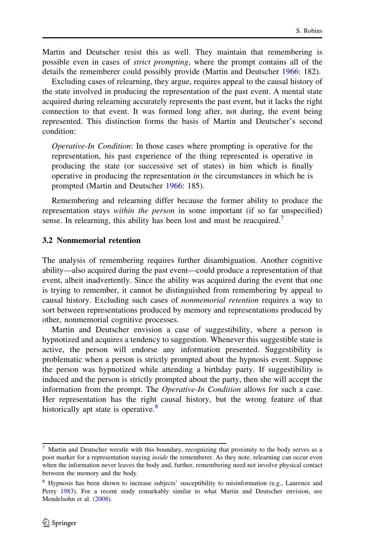Martin and Deutscher resist this as well. They maintain that remembering is possible even in cases of strict prompting, where the prompt contains all of the details the rememberer could possibly provide (Martin and Deutscher [1966](#page-19-0): 182).

Excluding cases of relearning, they argue, requires appeal to the causal history of the state involved in producing the representation of the past event. A mental state acquired during relearning accurately represents the past event, but it lacks the right connection to that event. It was formed long after, not during, the event being represented. This distinction forms the basis of Martin and Deutscher's second condition:

Operative-In Condition: In those cases where prompting is operative for the representation, his past experience of the thing represented is operative in producing the state (or successive set of states) in him which is finally operative in producing the representation in the circumstances in which he is prompted (Martin and Deutscher [1966:](#page-19-0) 185).

Remembering and relearning differ because the former ability to produce the representation stays *within the person* in some important (if so far unspecified) sense. In relearning, this ability has been lost and must be reacquired.<sup>7</sup>

#### 3.2 Nonmemorial retention

The analysis of remembering requires further disambiguation. Another cognitive ability—also acquired during the past event—could produce a representation of that event, albeit inadvertently. Since the ability was acquired during the event that one is trying to remember, it cannot be distinguished from remembering by appeal to causal history. Excluding such cases of nonmemorial retention requires a way to sort between representations produced by memory and representations produced by other, nonmemorial cognitive processes.

Martin and Deutscher envision a case of suggestibility, where a person is hypnotized and acquires a tendency to suggestion. Whenever this suggestible state is active, the person will endorse any information presented. Suggestibility is problematic when a person is strictly prompted about the hypnosis event. Suppose the person was hypnotized while attending a birthday party. If suggestibility is induced and the person is strictly prompted about the party, then she will accept the information from the prompt. The Operative-In Condition allows for such a case. Her representation has the right causal history, but the wrong feature of that historically apt state is operative.<sup>8</sup>

 $7$  Martin and Deutscher wrestle with this boundary, recognizing that proximity to the body serves as a poor marker for a representation staying *inside* the rememberer. As they note, relearning can occur even when the information never leaves the body and, further, remembering need not involve physical contact between the memory and the body.

<sup>8</sup> Hypnosis has been shown to increase subjects' susceptibility to misinformation (e.g., Laurence and Perry [1983\)](#page-19-0). For a recent study remarkably similar to what Martin and Deutscher envision, see Mendelsohn et al. ([2008](#page-19-0)).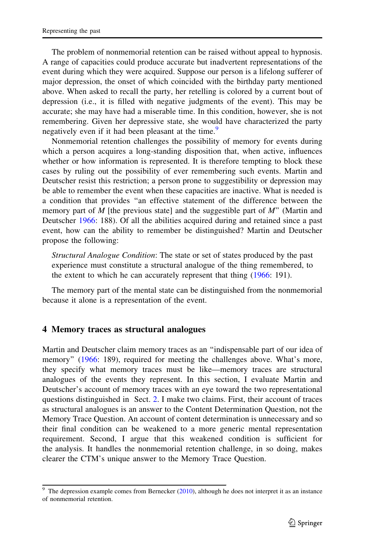<span id="page-6-0"></span>The problem of nonmemorial retention can be raised without appeal to hypnosis. A range of capacities could produce accurate but inadvertent representations of the event during which they were acquired. Suppose our person is a lifelong sufferer of major depression, the onset of which coincided with the birthday party mentioned above. When asked to recall the party, her retelling is colored by a current bout of depression (i.e., it is filled with negative judgments of the event). This may be accurate; she may have had a miserable time. In this condition, however, she is not remembering. Given her depressive state, she would have characterized the party negatively even if it had been pleasant at the time.<sup>9</sup>

Nonmemorial retention challenges the possibility of memory for events during which a person acquires a long-standing disposition that, when active, influences whether or how information is represented. It is therefore tempting to block these cases by ruling out the possibility of ever remembering such events. Martin and Deutscher resist this restriction; a person prone to suggestibility or depression may be able to remember the event when these capacities are inactive. What is needed is a condition that provides ''an effective statement of the difference between the memory part of  $M$  [the previous state] and the suggestible part of  $M$ " (Martin and Deutscher [1966:](#page-19-0) 188). Of all the abilities acquired during and retained since a past event, how can the ability to remember be distinguished? Martin and Deutscher propose the following:

Structural Analogue Condition: The state or set of states produced by the past experience must constitute a structural analogue of the thing remembered, to the extent to which he can accurately represent that thing ([1966:](#page-19-0) 191).

The memory part of the mental state can be distinguished from the nonmemorial because it alone is a representation of the event.

# 4 Memory traces as structural analogues

Martin and Deutscher claim memory traces as an ''indispensable part of our idea of memory" [\(1966](#page-19-0): 189), required for meeting the challenges above. What's more, they specify what memory traces must be like—memory traces are structural analogues of the events they represent. In this section, I evaluate Martin and Deutscher's account of memory traces with an eye toward the two representational questions distinguished in Sect. [2](#page-2-0). I make two claims. First, their account of traces as structural analogues is an answer to the Content Determination Question, not the Memory Trace Question. An account of content determination is unnecessary and so their final condition can be weakened to a more generic mental representation requirement. Second, I argue that this weakened condition is sufficient for the analysis. It handles the nonmemorial retention challenge, in so doing, makes clearer the CTM's unique answer to the Memory Trace Question.

 $\overline{9}$  The depression example comes from Bernecker ([2010\)](#page-19-0), although he does not interpret it as an instance of nonmemorial retention.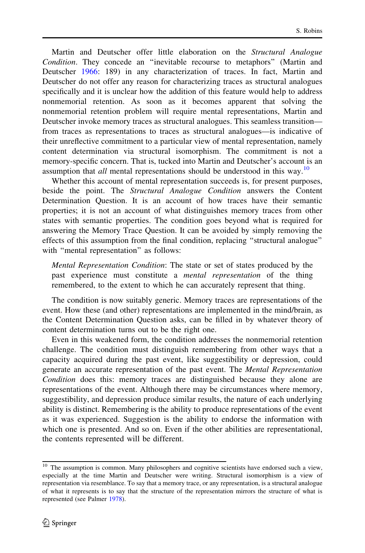Martin and Deutscher offer little elaboration on the Structural Analogue Condition. They concede an ''inevitable recourse to metaphors'' (Martin and Deutscher [1966:](#page-19-0) 189) in any characterization of traces. In fact, Martin and Deutscher do not offer any reason for characterizing traces as structural analogues specifically and it is unclear how the addition of this feature would help to address nonmemorial retention. As soon as it becomes apparent that solving the nonmemorial retention problem will require mental representations, Martin and Deutscher invoke memory traces as structural analogues. This seamless transition from traces as representations to traces as structural analogues—is indicative of their unreflective commitment to a particular view of mental representation, namely content determination via structural isomorphism. The commitment is not a memory-specific concern. That is, tucked into Martin and Deutscher's account is an assumption that *all* mental representations should be understood in this way.<sup>10</sup>

Whether this account of mental representation succeeds is, for present purposes, beside the point. The *Structural Analogue Condition* answers the Content Determination Question. It is an account of how traces have their semantic properties; it is not an account of what distinguishes memory traces from other states with semantic properties. The condition goes beyond what is required for answering the Memory Trace Question. It can be avoided by simply removing the effects of this assumption from the final condition, replacing ''structural analogue'' with "mental representation" as follows:

Mental Representation Condition: The state or set of states produced by the past experience must constitute a mental representation of the thing remembered, to the extent to which he can accurately represent that thing.

The condition is now suitably generic. Memory traces are representations of the event. How these (and other) representations are implemented in the mind/brain, as the Content Determination Question asks, can be filled in by whatever theory of content determination turns out to be the right one.

Even in this weakened form, the condition addresses the nonmemorial retention challenge. The condition must distinguish remembering from other ways that a capacity acquired during the past event, like suggestibility or depression, could generate an accurate representation of the past event. The Mental Representation Condition does this: memory traces are distinguished because they alone are representations of the event. Although there may be circumstances where memory, suggestibility, and depression produce similar results, the nature of each underlying ability is distinct. Remembering is the ability to produce representations of the event as it was experienced. Suggestion is the ability to endorse the information with which one is presented. And so on. Even if the other abilities are representational, the contents represented will be different.

<sup>&</sup>lt;sup>10</sup> The assumption is common. Many philosophers and cognitive scientists have endorsed such a view, especially at the time Martin and Deutscher were writing. Structural isomorphism is a view of representation via resemblance. To say that a memory trace, or any representation, is a structural analogue of what it represents is to say that the structure of the representation mirrors the structure of what is represented (see Palmer [1978](#page-19-0)).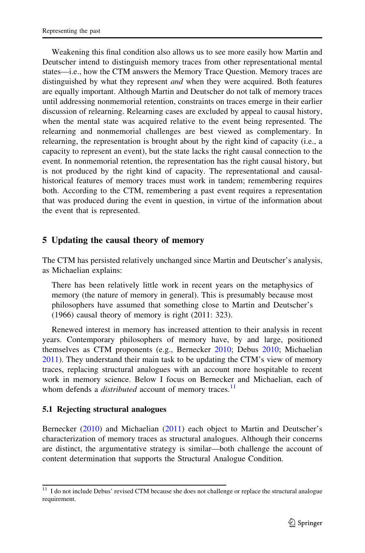Weakening this final condition also allows us to see more easily how Martin and Deutscher intend to distinguish memory traces from other representational mental states—i.e., how the CTM answers the Memory Trace Question. Memory traces are distinguished by what they represent *and* when they were acquired. Both features are equally important. Although Martin and Deutscher do not talk of memory traces until addressing nonmemorial retention, constraints on traces emerge in their earlier discussion of relearning. Relearning cases are excluded by appeal to causal history, when the mental state was acquired relative to the event being represented. The relearning and nonmemorial challenges are best viewed as complementary. In relearning, the representation is brought about by the right kind of capacity (i.e., a capacity to represent an event), but the state lacks the right causal connection to the event. In nonmemorial retention, the representation has the right causal history, but is not produced by the right kind of capacity. The representational and causalhistorical features of memory traces must work in tandem; remembering requires both. According to the CTM, remembering a past event requires a representation that was produced during the event in question, in virtue of the information about the event that is represented.

# 5 Updating the causal theory of memory

The CTM has persisted relatively unchanged since Martin and Deutscher's analysis, as Michaelian explains:

There has been relatively little work in recent years on the metaphysics of memory (the nature of memory in general). This is presumably because most philosophers have assumed that something close to Martin and Deutscher's (1966) causal theory of memory is right (2011: 323).

Renewed interest in memory has increased attention to their analysis in recent years. Contemporary philosophers of memory have, by and large, positioned themselves as CTM proponents (e.g., Bernecker [2010;](#page-19-0) Debus [2010;](#page-19-0) Michaelian [2011\)](#page-19-0). They understand their main task to be updating the CTM's view of memory traces, replacing structural analogues with an account more hospitable to recent work in memory science. Below I focus on Bernecker and Michaelian, each of whom defends a *distributed* account of memory traces.<sup>11</sup>

# 5.1 Rejecting structural analogues

Bernecker ([2010\)](#page-19-0) and Michaelian ([2011\)](#page-19-0) each object to Martin and Deutscher's characterization of memory traces as structural analogues. Although their concerns are distinct, the argumentative strategy is similar—both challenge the account of content determination that supports the Structural Analogue Condition.

<sup>&</sup>lt;sup>11</sup> I do not include Debus' revised CTM because she does not challenge or replace the structural analogue requirement.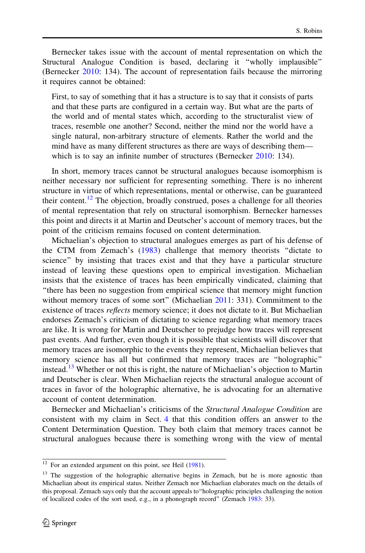Bernecker takes issue with the account of mental representation on which the Structural Analogue Condition is based, declaring it ''wholly implausible'' (Bernecker [2010](#page-19-0): 134). The account of representation fails because the mirroring it requires cannot be obtained:

First, to say of something that it has a structure is to say that it consists of parts and that these parts are configured in a certain way. But what are the parts of the world and of mental states which, according to the structuralist view of traces, resemble one another? Second, neither the mind nor the world have a single natural, non-arbitrary structure of elements. Rather the world and the mind have as many different structures as there are ways of describing them— which is to say an infinite number of structures (Bernecker [2010:](#page-19-0) 134).

In short, memory traces cannot be structural analogues because isomorphism is neither necessary nor sufficient for representing something. There is no inherent structure in virtue of which representations, mental or otherwise, can be guaranteed their content.<sup>12</sup> The objection, broadly construed, poses a challenge for all theories of mental representation that rely on structural isomorphism. Bernecker harnesses this point and directs it at Martin and Deutscher's account of memory traces, but the point of the criticism remains focused on content determination.

Michaelian's objection to structural analogues emerges as part of his defense of the CTM from Zemach's ([1983\)](#page-20-0) challenge that memory theorists ''dictate to science'' by insisting that traces exist and that they have a particular structure instead of leaving these questions open to empirical investigation. Michaelian insists that the existence of traces has been empirically vindicated, claiming that ''there has been no suggestion from empirical science that memory might function without memory traces of some sort" (Michaelian [2011:](#page-19-0) 331). Commitment to the existence of traces *reflects* memory science; it does not dictate to it. But Michaelian endorses Zemach's criticism of dictating to science regarding what memory traces are like. It is wrong for Martin and Deutscher to prejudge how traces will represent past events. And further, even though it is possible that scientists will discover that memory traces are isomorphic to the events they represent, Michaelian believes that memory science has all but confirmed that memory traces are ''holographic'' instead.<sup>13</sup> Whether or not this is right, the nature of Michaelian's objection to Martin and Deutscher is clear. When Michaelian rejects the structural analogue account of traces in favor of the holographic alternative, he is advocating for an alternative account of content determination.

Bernecker and Michaelian's criticisms of the Structural Analogue Condition are consistent with my claim in Sect. [4](#page-6-0) that this condition offers an answer to the Content Determination Question. They both claim that memory traces cannot be structural analogues because there is something wrong with the view of mental

<sup>&</sup>lt;sup>12</sup> For an extended argument on this point, see Heil ([1981\)](#page-19-0).

<sup>&</sup>lt;sup>13</sup> The suggestion of the holographic alternative begins in Zemach, but he is more agnostic than Michaelian about its empirical status. Neither Zemach nor Michaelian elaborates much on the details of this proposal. Zemach says only that the account appeals to''holographic principles challenging the notion of localized codes of the sort used, e.g., in a phonograph record'' (Zemach [1983](#page-20-0): 33).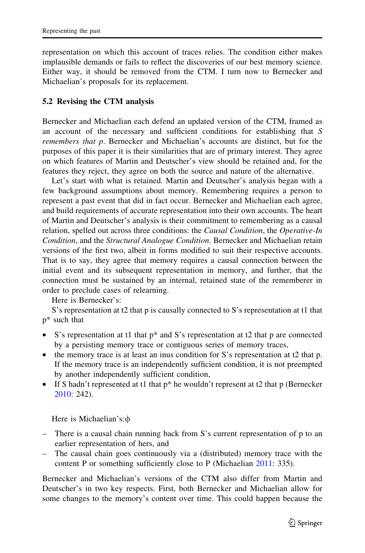<span id="page-10-0"></span>representation on which this account of traces relies. The condition either makes implausible demands or fails to reflect the discoveries of our best memory science. Either way, it should be removed from the CTM. I turn now to Bernecker and Michaelian's proposals for its replacement.

### 5.2 Revising the CTM analysis

Bernecker and Michaelian each defend an updated version of the CTM, framed as an account of the necessary and sufficient conditions for establishing that S remembers that p. Bernecker and Michaelian's accounts are distinct, but for the purposes of this paper it is their similarities that are of primary interest. They agree on which features of Martin and Deutscher's view should be retained and, for the features they reject, they agree on both the source and nature of the alternative.

Let's start with what is retained. Martin and Deutscher's analysis began with a few background assumptions about memory. Remembering requires a person to represent a past event that did in fact occur. Bernecker and Michaelian each agree, and build requirements of accurate representation into their own accounts. The heart of Martin and Deutscher's analysis is their commitment to remembering as a causal relation, spelled out across three conditions: the Causal Condition, the Operative-In Condition, and the Structural Analogue Condition. Bernecker and Michaelian retain versions of the first two, albeit in forms modified to suit their respective accounts. That is to say, they agree that memory requires a causal connection between the initial event and its subsequent representation in memory, and further, that the connection must be sustained by an internal, retained state of the rememberer in order to preclude cases of relearning.

Here is Bernecker's:

S's representation at t2 that p is causally connected to S's representation at t1 that p\* such that

- S's representation at t1 that  $p^*$  and S's representation at t2 that p are connected by a persisting memory trace or contiguous series of memory traces,
- the memory trace is at least an inus condition for S's representation at t2 that p. If the memory trace is an independently sufficient condition, it is not preempted by another independently sufficient condition,
- If S hadn't represented at t1 that  $p^*$  he wouldn't represent at t2 that p (Bernecker [2010:](#page-19-0) 242).

Here is Michaelian's: $\phi$ 

- There is a causal chain running back from S's current representation of p to an earlier representation of hers, and
- The causal chain goes continuously via a (distributed) memory trace with the content P or something sufficiently close to P (Michaelian [2011](#page-19-0): 335).

Bernecker and Michaelian's versions of the CTM also differ from Martin and Deutscher's in two key respects. First, both Bernecker and Michaelian allow for some changes to the memory's content over time. This could happen because the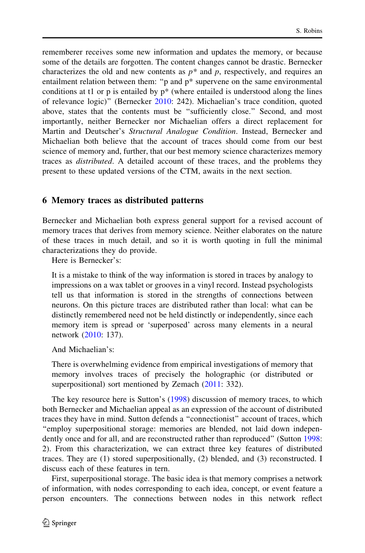rememberer receives some new information and updates the memory, or because some of the details are forgotten. The content changes cannot be drastic. Bernecker characterizes the old and new contents as  $p^*$  and p, respectively, and requires an entailment relation between them: ''p and p\* supervene on the same environmental conditions at t1 or p is entailed by  $p^*$  (where entailed is understood along the lines of relevance logic)'' (Bernecker [2010](#page-19-0): 242). Michaelian's trace condition, quoted above, states that the contents must be ''sufficiently close.'' Second, and most importantly, neither Bernecker nor Michaelian offers a direct replacement for Martin and Deutscher's Structural Analogue Condition. Instead, Bernecker and Michaelian both believe that the account of traces should come from our best science of memory and, further, that our best memory science characterizes memory traces as distributed. A detailed account of these traces, and the problems they present to these updated versions of the CTM, awaits in the next section.

# 6 Memory traces as distributed patterns

Bernecker and Michaelian both express general support for a revised account of memory traces that derives from memory science. Neither elaborates on the nature of these traces in much detail, and so it is worth quoting in full the minimal characterizations they do provide.

Here is Bernecker's:

It is a mistake to think of the way information is stored in traces by analogy to impressions on a wax tablet or grooves in a vinyl record. Instead psychologists tell us that information is stored in the strengths of connections between neurons. On this picture traces are distributed rather than local: what can be distinctly remembered need not be held distinctly or independently, since each memory item is spread or 'superposed' across many elements in a neural network ([2010:](#page-19-0) 137).

And Michaelian's:

There is overwhelming evidence from empirical investigations of memory that memory involves traces of precisely the holographic (or distributed or superpositional) sort mentioned by Zemach [\(2011](#page-19-0): 332).

The key resource here is Sutton's [\(1998](#page-19-0)) discussion of memory traces, to which both Bernecker and Michaelian appeal as an expression of the account of distributed traces they have in mind. Sutton defends a ''connectionist'' account of traces, which ''employ superpositional storage: memories are blended, not laid down independently once and for all, and are reconstructed rather than reproduced'' (Sutton [1998:](#page-19-0) 2). From this characterization, we can extract three key features of distributed traces. They are (1) stored superpositionally, (2) blended, and (3) reconstructed. I discuss each of these features in tern.

First, superpositional storage. The basic idea is that memory comprises a network of information, with nodes corresponding to each idea, concept, or event feature a person encounters. The connections between nodes in this network reflect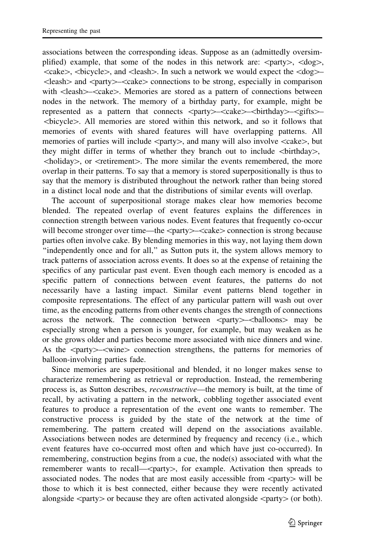associations between the corresponding ideas. Suppose as an (admittedly oversimplified) example, that some of the nodes in this network are:  $\langle$  party $\rangle$ ,  $\langle$  dog $\rangle$ ,  $\langle\text{cake}\rangle$ ,  $\langle\text{bicycle}\rangle$ , and  $\langle\text{leash}\rangle$ . In such a network we would expect the  $\langle\text{dog}\rangle$ –  $\langle$ leash $>$  and  $\langle$ party $>$  $\langle$ cake $>$  connections to be strong, especially in comparison with  $\langle$ leash $\rangle$ — $\langle$ cake $\rangle$ . Memories are stored as a pattern of connections between nodes in the network. The memory of a birthday party, for example, might be represented as a pattern that connects  $\langle$ party> $-\langle$ cake> $-\langle$ birthday> $-\langle$ gifts> \bicycle[. All memories are stored within this network, and so it follows that memories of events with shared features will have overlapping patterns. All memories of parties will include  $\langle$  party>, and many will also involve  $\langle$  cake>, but they might differ in terms of whether they branch out to include  $\triangle$ birthday $\triangleright$ ,  $\alpha$   $\rightarrow$   $\alpha$ , or  $\alpha$   $\rightarrow$   $\alpha$   $\rightarrow$   $\alpha$ . The more similar the events remembered, the more overlap in their patterns. To say that a memory is stored superpositionally is thus to say that the memory is distributed throughout the network rather than being stored in a distinct local node and that the distributions of similar events will overlap.

The account of superpositional storage makes clear how memories become blended. The repeated overlap of event features explains the differences in connection strength between various nodes. Event features that frequently co-occur will become stronger over time—the <party>-<cake> connection is strong because parties often involve cake. By blending memories in this way, not laying them down ''independently once and for all,'' as Sutton puts it, the system allows memory to track patterns of association across events. It does so at the expense of retaining the specifics of any particular past event. Even though each memory is encoded as a specific pattern of connections between event features, the patterns do not necessarily have a lasting impact. Similar event patterns blend together in composite representations. The effect of any particular pattern will wash out over time, as the encoding patterns from other events changes the strength of connections across the network. The connection between  $\langle$  party> $\sim$  balloons> may be especially strong when a person is younger, for example, but may weaken as he or she grows older and parties become more associated with nice dinners and wine. As the  $\langle$ party $\rangle$ – $\langle$ wine $\rangle$  connection strengthens, the patterns for memories of balloon-involving parties fade.

Since memories are superpositional and blended, it no longer makes sense to characterize remembering as retrieval or reproduction. Instead, the remembering process is, as Sutton describes, reconstructive—the memory is built, at the time of recall, by activating a pattern in the network, cobbling together associated event features to produce a representation of the event one wants to remember. The constructive process is guided by the state of the network at the time of remembering. The pattern created will depend on the associations available. Associations between nodes are determined by frequency and recency (i.e., which event features have co-occurred most often and which have just co-occurred). In remembering, construction begins from a cue, the node(s) associated with what the rememberer wants to recall—<party>, for example. Activation then spreads to associated nodes. The nodes that are most easily accessible from  $\langle$  party $>$  will be those to which it is best connected, either because they were recently activated alongside  $\langle$  party $>$  or because they are often activated alongside  $\langle$  party $>($ or both).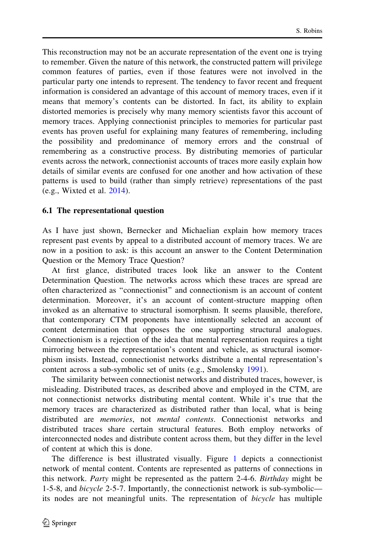This reconstruction may not be an accurate representation of the event one is trying to remember. Given the nature of this network, the constructed pattern will privilege common features of parties, even if those features were not involved in the particular party one intends to represent. The tendency to favor recent and frequent information is considered an advantage of this account of memory traces, even if it means that memory's contents can be distorted. In fact, its ability to explain distorted memories is precisely why many memory scientists favor this account of memory traces. Applying connectionist principles to memories for particular past events has proven useful for explaining many features of remembering, including the possibility and predominance of memory errors and the construal of remembering as a constructive process. By distributing memories of particular events across the network, connectionist accounts of traces more easily explain how details of similar events are confused for one another and how activation of these patterns is used to build (rather than simply retrieve) representations of the past (e.g., Wixted et al. [2014](#page-20-0)).

#### 6.1 The representational question

As I have just shown, Bernecker and Michaelian explain how memory traces represent past events by appeal to a distributed account of memory traces. We are now in a position to ask: is this account an answer to the Content Determination Question or the Memory Trace Question?

At first glance, distributed traces look like an answer to the Content Determination Question. The networks across which these traces are spread are often characterized as ''connectionist'' and connectionism is an account of content determination. Moreover, it's an account of content-structure mapping often invoked as an alternative to structural isomorphism. It seems plausible, therefore, that contemporary CTM proponents have intentionally selected an account of content determination that opposes the one supporting structural analogues. Connectionism is a rejection of the idea that mental representation requires a tight mirroring between the representation's content and vehicle, as structural isomorphism insists. Instead, connectionist networks distribute a mental representation's content across a sub-symbolic set of units (e.g., Smolensky [1991](#page-19-0)).

The similarity between connectionist networks and distributed traces, however, is misleading. Distributed traces, as described above and employed in the CTM, are not connectionist networks distributing mental content. While it's true that the memory traces are characterized as distributed rather than local, what is being distributed are memories, not mental contents. Connectionist networks and distributed traces share certain structural features. Both employ networks of interconnected nodes and distribute content across them, but they differ in the level of content at which this is done.

The difference is best illustrated visually. Figure [1](#page-14-0) depicts a connectionist network of mental content. Contents are represented as patterns of connections in this network. Party might be represented as the pattern 2-4-6. Birthday might be 1-5-8, and bicycle 2-5-7. Importantly, the connectionist network is sub-symbolic its nodes are not meaningful units. The representation of bicycle has multiple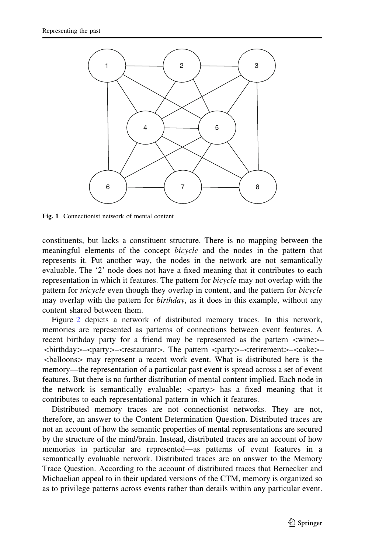<span id="page-14-0"></span>

Fig. 1 Connectionist network of mental content

constituents, but lacks a constituent structure. There is no mapping between the meaningful elements of the concept bicycle and the nodes in the pattern that represents it. Put another way, the nodes in the network are not semantically evaluable. The '2' node does not have a fixed meaning that it contributes to each representation in which it features. The pattern for *bicycle* may not overlap with the pattern for tricycle even though they overlap in content, and the pattern for bicycle may overlap with the pattern for *birthday*, as it does in this example, without any content shared between them.

Figure [2](#page-15-0) depicts a network of distributed memory traces. In this network, memories are represented as patterns of connections between event features. A recent birthday party for a friend may be represented as the pattern  $\lt$ wine $\gt$  $\phi$ irthday>- $\phi$ arty>- $\phi$ restaurant>. The pattern  $\phi$ arty>- $\phi$ retirement>- $\phi$ cake>-\balloons[ may represent a recent work event. What is distributed here is the memory—the representation of a particular past event is spread across a set of event features. But there is no further distribution of mental content implied. Each node in the network is semantically evaluable;  $\langle$  party $\rangle$  has a fixed meaning that it contributes to each representational pattern in which it features.

Distributed memory traces are not connectionist networks. They are not, therefore, an answer to the Content Determination Question. Distributed traces are not an account of how the semantic properties of mental representations are secured by the structure of the mind/brain. Instead, distributed traces are an account of how memories in particular are represented—as patterns of event features in a semantically evaluable network. Distributed traces are an answer to the Memory Trace Question. According to the account of distributed traces that Bernecker and Michaelian appeal to in their updated versions of the CTM, memory is organized so as to privilege patterns across events rather than details within any particular event.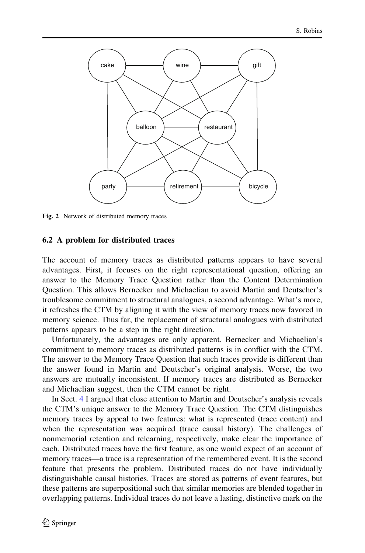<span id="page-15-0"></span>

Fig. 2 Network of distributed memory traces

#### 6.2 A problem for distributed traces

The account of memory traces as distributed patterns appears to have several advantages. First, it focuses on the right representational question, offering an answer to the Memory Trace Question rather than the Content Determination Question. This allows Bernecker and Michaelian to avoid Martin and Deutscher's troublesome commitment to structural analogues, a second advantage. What's more, it refreshes the CTM by aligning it with the view of memory traces now favored in memory science. Thus far, the replacement of structural analogues with distributed patterns appears to be a step in the right direction.

Unfortunately, the advantages are only apparent. Bernecker and Michaelian's commitment to memory traces as distributed patterns is in conflict with the CTM. The answer to the Memory Trace Question that such traces provide is different than the answer found in Martin and Deutscher's original analysis. Worse, the two answers are mutually inconsistent. If memory traces are distributed as Bernecker and Michaelian suggest, then the CTM cannot be right.

In Sect. [4](#page-6-0) I argued that close attention to Martin and Deutscher's analysis reveals the CTM's unique answer to the Memory Trace Question. The CTM distinguishes memory traces by appeal to two features: what is represented (trace content) and when the representation was acquired (trace causal history). The challenges of nonmemorial retention and relearning, respectively, make clear the importance of each. Distributed traces have the first feature, as one would expect of an account of memory traces—a trace is a representation of the remembered event. It is the second feature that presents the problem. Distributed traces do not have individually distinguishable causal histories. Traces are stored as patterns of event features, but these patterns are superpositional such that similar memories are blended together in overlapping patterns. Individual traces do not leave a lasting, distinctive mark on the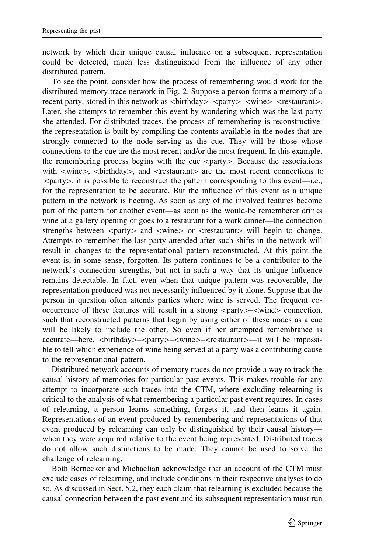network by which their unique causal influence on a subsequent representation could be detected, much less distinguished from the influence of any other distributed pattern.

To see the point, consider how the process of remembering would work for the distributed memory trace network in Fig. [2](#page-15-0). Suppose a person forms a memory of a recent party, stored in this network as  $\langle$ birthday> $\langle$ party> $\langle$ wine> $\langle$ restaurant $\rangle$ . Later, she attempts to remember this event by wondering which was the last party she attended. For distributed traces, the process of remembering is reconstructive: the representation is built by compiling the contents available in the nodes that are strongly connected to the node serving as the cue. They will be those whose connections to the cue are the most recent and/or the most frequent. In this example, the remembering process begins with the cue  $\langle$  party $\rangle$ . Because the associations with  $\langle$ wine $\rangle$ ,  $\langle$ birthday $\rangle$ , and  $\langle$ restaurant $\rangle$  are the most recent connections to  $\langle$  party $\rangle$ , it is possible to reconstruct the pattern corresponding to this event—i.e., for the representation to be accurate. But the influence of this event as a unique pattern in the network is fleeting. As soon as any of the involved features become part of the pattern for another event—as soon as the would-be rememberer drinks wine at a gallery opening or goes to a restaurant for a work dinner—the connection strengths between  $\langle$  party $>$  and  $\langle$  wine $>$  or  $\langle$  restaurant $>$  will begin to change. Attempts to remember the last party attended after such shifts in the network will result in changes to the representational pattern reconstructed. At this point the event is, in some sense, forgotten. Its pattern continues to be a contributor to the network's connection strengths, but not in such a way that its unique influence remains detectable. In fact, even when that unique pattern was recoverable, the representation produced was not necessarily influenced by it alone. Suppose that the person in question often attends parties where wine is served. The frequent cooccurrence of these features will result in a strong <party>-<wine> connection, such that reconstructed patterns that begin by using either of these nodes as a cue will be likely to include the other. So even if her attempted remembrance is accurate—here, <br/>birthday>-<party>-<wine>-<restaurant>—it will be impossible to tell which experience of wine being served at a party was a contributing cause to the representational pattern.

Distributed network accounts of memory traces do not provide a way to track the causal history of memories for particular past events. This makes trouble for any attempt to incorporate such traces into the CTM, where excluding relearning is critical to the analysis of what remembering a particular past event requires. In cases of relearning, a person learns something, forgets it, and then learns it again. Representations of an event produced by remembering and representations of that event produced by relearning can only be distinguished by their causal history when they were acquired relative to the event being represented. Distributed traces do not allow such distinctions to be made. They cannot be used to solve the challenge of relearning.

Both Bernecker and Michaelian acknowledge that an account of the CTM must exclude cases of relearning, and include conditions in their respective analyses to do so. As discussed in Sect. [5.2,](#page-10-0) they each claim that relearning is excluded because the causal connection between the past event and its subsequent representation must run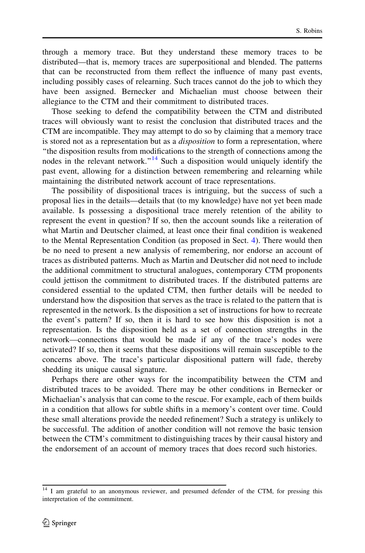through a memory trace. But they understand these memory traces to be distributed—that is, memory traces are superpositional and blended. The patterns that can be reconstructed from them reflect the influence of many past events, including possibly cases of relearning. Such traces cannot do the job to which they have been assigned. Bernecker and Michaelian must choose between their allegiance to the CTM and their commitment to distributed traces.

Those seeking to defend the compatibility between the CTM and distributed traces will obviously want to resist the conclusion that distributed traces and the CTM are incompatible. They may attempt to do so by claiming that a memory trace is stored not as a representation but as a *disposition* to form a representation, where ''the disposition results from modifications to the strength of connections among the nodes in the relevant network."<sup>14</sup> Such a disposition would uniquely identify the past event, allowing for a distinction between remembering and relearning while maintaining the distributed network account of trace representations.

The possibility of dispositional traces is intriguing, but the success of such a proposal lies in the details—details that (to my knowledge) have not yet been made available. Is possessing a dispositional trace merely retention of the ability to represent the event in question? If so, then the account sounds like a reiteration of what Martin and Deutscher claimed, at least once their final condition is weakened to the Mental Representation Condition (as proposed in Sect. [4\)](#page-6-0). There would then be no need to present a new analysis of remembering, nor endorse an account of traces as distributed patterns. Much as Martin and Deutscher did not need to include the additional commitment to structural analogues, contemporary CTM proponents could jettison the commitment to distributed traces. If the distributed patterns are considered essential to the updated CTM, then further details will be needed to understand how the disposition that serves as the trace is related to the pattern that is represented in the network. Is the disposition a set of instructions for how to recreate the event's pattern? If so, then it is hard to see how this disposition is not a representation. Is the disposition held as a set of connection strengths in the network—connections that would be made if any of the trace's nodes were activated? If so, then it seems that these dispositions will remain susceptible to the concerns above. The trace's particular dispositional pattern will fade, thereby shedding its unique causal signature.

Perhaps there are other ways for the incompatibility between the CTM and distributed traces to be avoided. There may be other conditions in Bernecker or Michaelian's analysis that can come to the rescue. For example, each of them builds in a condition that allows for subtle shifts in a memory's content over time. Could these small alterations provide the needed refinement? Such a strategy is unlikely to be successful. The addition of another condition will not remove the basic tension between the CTM's commitment to distinguishing traces by their causal history and the endorsement of an account of memory traces that does record such histories.

 $\frac{14}{14}$  I am grateful to an anonymous reviewer, and presumed defender of the CTM, for pressing this interpretation of the commitment.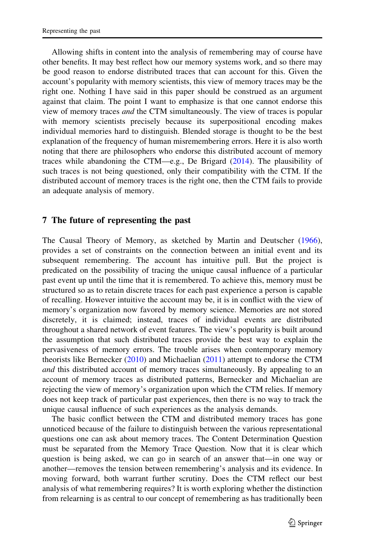Allowing shifts in content into the analysis of remembering may of course have other benefits. It may best reflect how our memory systems work, and so there may be good reason to endorse distributed traces that can account for this. Given the account's popularity with memory scientists, this view of memory traces may be the right one. Nothing I have said in this paper should be construed as an argument against that claim. The point I want to emphasize is that one cannot endorse this view of memory traces and the CTM simultaneously. The view of traces is popular with memory scientists precisely because its superpositional encoding makes individual memories hard to distinguish. Blended storage is thought to be the best explanation of the frequency of human misremembering errors. Here it is also worth noting that there are philosophers who endorse this distributed account of memory traces while abandoning the CTM—e.g., De Brigard [\(2014](#page-19-0)). The plausibility of such traces is not being questioned, only their compatibility with the CTM. If the distributed account of memory traces is the right one, then the CTM fails to provide an adequate analysis of memory.

#### 7 The future of representing the past

The Causal Theory of Memory, as sketched by Martin and Deutscher ([1966\)](#page-19-0), provides a set of constraints on the connection between an initial event and its subsequent remembering. The account has intuitive pull. But the project is predicated on the possibility of tracing the unique causal influence of a particular past event up until the time that it is remembered. To achieve this, memory must be structured so as to retain discrete traces for each past experience a person is capable of recalling. However intuitive the account may be, it is in conflict with the view of memory's organization now favored by memory science. Memories are not stored discretely, it is claimed; instead, traces of individual events are distributed throughout a shared network of event features. The view's popularity is built around the assumption that such distributed traces provide the best way to explain the pervasiveness of memory errors. The trouble arises when contemporary memory theorists like Bernecker [\(2010](#page-19-0)) and Michaelian ([2011\)](#page-19-0) attempt to endorse the CTM and this distributed account of memory traces simultaneously. By appealing to an account of memory traces as distributed patterns, Bernecker and Michaelian are rejecting the view of memory's organization upon which the CTM relies. If memory does not keep track of particular past experiences, then there is no way to track the unique causal influence of such experiences as the analysis demands.

The basic conflict between the CTM and distributed memory traces has gone unnoticed because of the failure to distinguish between the various representational questions one can ask about memory traces. The Content Determination Question must be separated from the Memory Trace Question. Now that it is clear which question is being asked, we can go in search of an answer that—in one way or another—removes the tension between remembering's analysis and its evidence. In moving forward, both warrant further scrutiny. Does the CTM reflect our best analysis of what remembering requires? It is worth exploring whether the distinction from relearning is as central to our concept of remembering as has traditionally been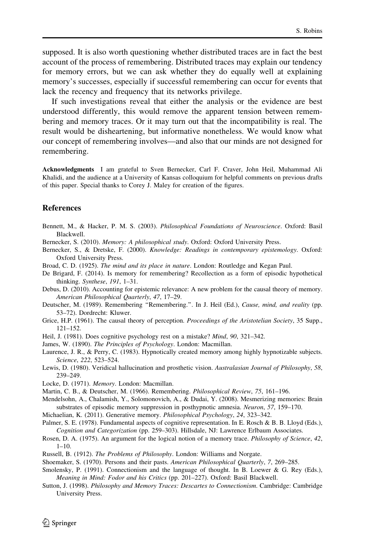<span id="page-19-0"></span>supposed. It is also worth questioning whether distributed traces are in fact the best account of the process of remembering. Distributed traces may explain our tendency for memory errors, but we can ask whether they do equally well at explaining memory's successes, especially if successful remembering can occur for events that lack the recency and frequency that its networks privilege.

If such investigations reveal that either the analysis or the evidence are best understood differently, this would remove the apparent tension between remembering and memory traces. Or it may turn out that the incompatibility is real. The result would be disheartening, but informative nonetheless. We would know what our concept of remembering involves—and also that our minds are not designed for remembering.

Acknowledgments I am grateful to Sven Bernecker, Carl F. Craver, John Heil, Muhammad Ali Khalidi, and the audience at a University of Kansas colloquium for helpful comments on previous drafts of this paper. Special thanks to Corey J. Maley for creation of the figures.

#### References

- Bennett, M., & Hacker, P. M. S. (2003). Philosophical Foundations of Neuroscience. Oxford: Basil Blackwell.
- Bernecker, S. (2010). Memory: A philosophical study. Oxford: Oxford University Press.
- Bernecker, S., & Dretske, F. (2000). Knowledge: Readings in contemporary epistemology. Oxford: Oxford University Press.
- Broad, C. D. (1925). The mind and its place in nature. London: Routledge and Kegan Paul.
- De Brigard, F. (2014). Is memory for remembering? Recollection as a form of episodic hypothetical thinking. Synthese, 191, 1–31.
- Debus, D. (2010). Accounting for epistemic relevance: A new problem for the causal theory of memory. American Philosophical Quarterly, 47, 17–29.
- Deutscher, M. (1989). Remembering "Remembering.". In J. Heil (Ed.), Cause, mind, and reality (pp. 53–72). Dordrecht: Kluwer.
- Grice, H.P. (1961). The causal theory of perception. Proceedings of the Aristotelian Society, 35 Supp., 121–152.
- Heil, J. (1981). Does cognitive psychology rest on a mistake? Mind, 90, 321–342.
- James, W. (1890). The Principles of Psychology. London: Macmillan.
- Laurence, J. R., & Perry, C. (1983). Hypnotically created memory among highly hypnotizable subjects. Science, 222, 523–524.
- Lewis, D. (1980). Veridical hallucination and prosthetic vision. Australasian Journal of Philosophy, 58, 239–249.
- Locke, D. (1971). Memory. London: Macmillan.
- Martin, C. B., & Deutscher, M. (1966). Remembering. Philosophical Review, 75, 161–196.
- Mendelsohn, A., Chalamish, Y., Solomonovich, A., & Dudai, Y. (2008). Mesmerizing memories: Brain substrates of episodic memory suppression in posthypnotic amnesia. Neuron, 57, 159–170.
- Michaelian, K. (2011). Generative memory. Philosophical Psychology, 24, 323–342.
- Palmer, S. E. (1978). Fundamental aspects of cognitive representation. In E. Rosch & B. B. Lloyd (Eds.), Cognition and Categorization (pp. 259–303). Hillsdale, NJ: Lawrence Erlbaum Associates.
- Rosen, D. A. (1975). An argument for the logical notion of a memory trace. Philosophy of Science, 42, 1–10.
- Russell, B. (1912). The Problems of Philosophy. London: Williams and Norgate.
- Shoemaker, S. (1970). Persons and their pasts. American Philosophical Quarterly, 7, 269–285.
- Smolensky, P. (1991). Connectionism and the language of thought. In B. Loewer & G. Rey (Eds.), Meaning in Mind: Fodor and his Critics (pp. 201–227). Oxford: Basil Blackwell.
- Sutton, J. (1998). Philosophy and Memory Traces: Descartes to Connectionism. Cambridge: Cambridge University Press.